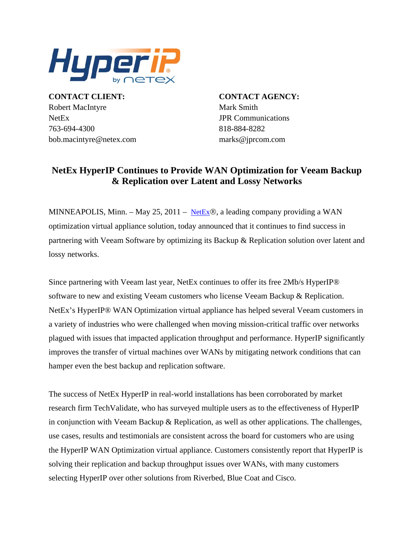

**CONTACT CLIENT: CONTACT AGENCY:** Robert MacIntyre Mark Smith NetEx JPR Communications 763-694-4300 818-884-8282 bob.macintyre@netex.com marks@jprcom.com

# **NetEx HyperIP Continues to Provide WAN Optimization for Veeam Backup & Replication over Latent and Lossy Networks**

MINNEAPOLIS, Minn. – May 25, 2011 – [NetEx](http://www.netex.com/)®, a leading company providing a WAN optimization virtual appliance solution, today announced that it continues to find success in partnering with Veeam Software by optimizing its Backup & Replication solution over latent and lossy networks.

Since partnering with Veeam last year, NetEx continues to offer its free 2Mb/s HyperIP® software to new and existing Veeam customers who license Veeam Backup & Replication. NetEx's HyperIP® WAN Optimization virtual appliance has helped several Veeam customers in a variety of industries who were challenged when moving mission-critical traffic over networks plagued with issues that impacted application throughput and performance. HyperIP significantly improves the transfer of virtual machines over WANs by mitigating network conditions that can hamper even the best backup and replication software.

The success of NetEx HyperIP in real-world installations has been corroborated by market research firm TechValidate, who has surveyed multiple users as to the effectiveness of HyperIP in conjunction with Veeam Backup & Replication, as well as other applications. The challenges, use cases, results and testimonials are consistent across the board for customers who are using the HyperIP WAN Optimization virtual appliance. Customers consistently report that HyperIP is solving their replication and backup throughput issues over WANs, with many customers selecting HyperIP over other solutions from Riverbed, Blue Coat and Cisco.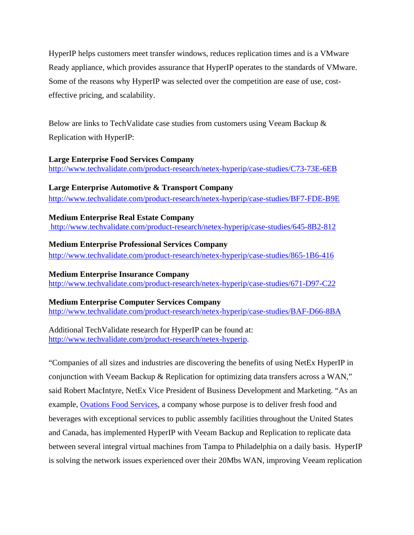HyperIP helps customers meet transfer windows, reduces replication times and is a VMware Ready appliance, which provides assurance that HyperIP operates to the standards of VMware. Some of the reasons why HyperIP was selected over the competition are ease of use, costeffective pricing, and scalability.

Below are links to TechValidate case studies from customers using Veeam Backup & Replication with HyperIP:

#### **Large Enterprise Food Services Company**

<http://www.techvalidate.com/product-research/netex-hyperip/case-studies/C73-73E-6EB>

## **Large Enterprise Automotive & Transport Company**

<http://www.techvalidate.com/product-research/netex-hyperip/case-studies/BF7-FDE-B9E>

**Medium Enterprise Real Estate Company** 

<http://www.techvalidate.com/product-research/netex-hyperip/case-studies/645-8B2-812>

## **Medium Enterprise Professional Services Company**

<http://www.techvalidate.com/product-research/netex-hyperip/case-studies/865-1B6-416>

# **Medium Enterprise Insurance Company**

<http://www.techvalidate.com/product-research/netex-hyperip/case-studies/671-D97-C22>

#### **Medium Enterprise Computer Services Company**

<http://www.techvalidate.com/product-research/netex-hyperip/case-studies/BAF-D66-8BA>

Additional TechValidate research for HyperIP can be found at: <http://www.techvalidate.com/product-research/netex-hyperip>.

"Companies of all sizes and industries are discovering the benefits of using NetEx HyperIP in conjunction with Veeam Backup & Replication for optimizing data transfers across a WAN," said Robert MacIntyre, NetEx Vice President of Business Development and Marketing. "As an example, [Ovations Food Services](http://www.ovationsfoodservices.com/), a company whose purpose is to deliver fresh food and beverages with exceptional services to public assembly facilities throughout the United States and Canada, has implemented HyperIP with Veeam Backup and Replication to replicate data between several integral virtual machines from Tampa to Philadelphia on a daily basis. HyperIP is solving the network issues experienced over their 20Mbs WAN, improving Veeam replication